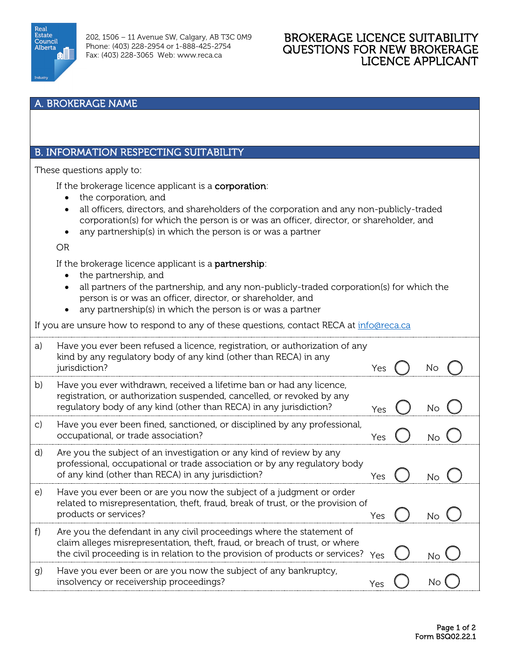

## BROKERAGE LICENCE SUITABILITY QUESTIONS FOR NEW BROKERAGE LICENCE APPLICANT

## A. BROKERAGE NAME

## B. INFORMATION RESPECTING SUITABILITY

These questions apply to:

If the brokerage licence applicant is a **corporation**:

- the corporation, and
- all officers, directors, and shareholders of the corporation and any non-publicly-traded corporation(s) for which the person is or was an officer, director, or shareholder, and
- any partnership(s) in which the person is or was a partner

OR

If the brokerage licence applicant is a **partnership**:

- the partnership, and
- all partners of the partnership, and any non-publicly-traded corporation(s) for which the person is or was an officer, director, or shareholder, and
- any partnership(s) in which the person is or was a partner

If you are unsure how to respond to any of these questions, contact RECA at [info@reca.ca](mailto:info@reca.ca)

| a) | Have you ever been refused a licence, registration, or authorization of any<br>kind by any regulatory body of any kind (other than RECA) in any<br>jurisdiction?                                                                                      | Yes | Νo |
|----|-------------------------------------------------------------------------------------------------------------------------------------------------------------------------------------------------------------------------------------------------------|-----|----|
| b) | Have you ever withdrawn, received a lifetime ban or had any licence,<br>registration, or authorization suspended, cancelled, or revoked by any<br>regulatory body of any kind (other than RECA) in any jurisdiction?                                  | Yes | Νo |
| C) | Have you ever been fined, sanctioned, or disciplined by any professional,<br>occupational, or trade association?                                                                                                                                      | Yes |    |
| d) | Are you the subject of an investigation or any kind of review by any<br>professional, occupational or trade association or by any regulatory body<br>of any kind (other than RECA) in any jurisdiction?                                               | Yes |    |
| e) | Have you ever been or are you now the subject of a judgment or order<br>related to misrepresentation, theft, fraud, break of trust, or the provision of<br>products or services?                                                                      | Yes |    |
| f) | Are you the defendant in any civil proceedings where the statement of<br>claim alleges misrepresentation, theft, fraud, or breach of trust, or where<br>the civil proceeding is in relation to the provision of products or services? $Y_{\text{es}}$ |     |    |
| g) | Have you ever been or are you now the subject of any bankruptcy,<br>insolvency or receivership proceedings?                                                                                                                                           | Yes |    |